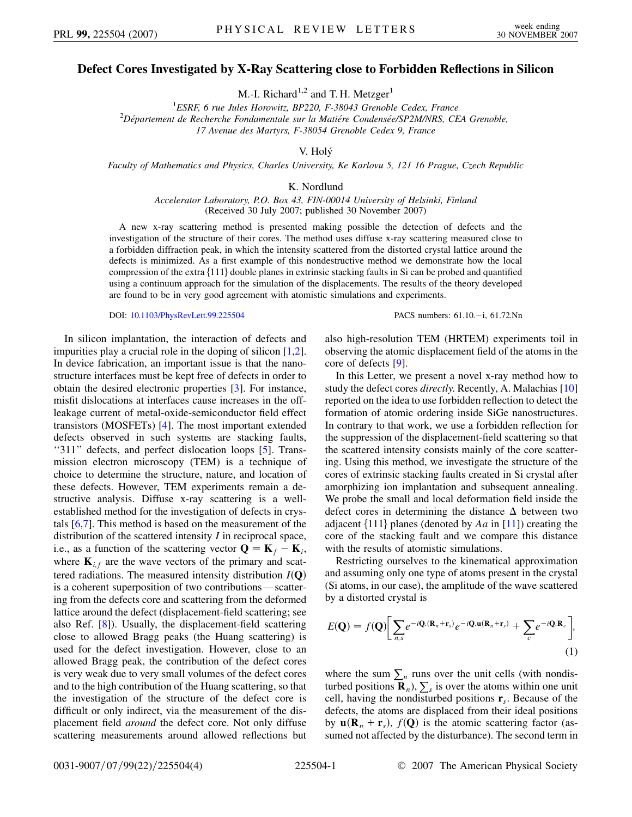## **Defect Cores Investigated by X-Ray Scattering close to Forbidden Reflections in Silicon**

M.-I. Richard<sup>1,2</sup> and T. H. Metzger<sup>1</sup>

<sup>1</sup>ESRF, 6 rue Jules Horowitz, BP220, F-38043 Grenoble Cedex, France <sup>1</sup> *ESRF, 6 rue Jules Horowitz, BP220, F-38043 Grenoble Cedex, France*<br><sup>2</sup> Département de Recherche Fondamentale sur la Matiére Condensée/SP2M/NRS, CEA Grenoble, *17 Avenue des Martyrs, F-38054 Grenoble Cedex 9, France*

V. Holy´

*Faculty of Mathematics and Physics, Charles University, Ke Karlovu 5, 121 16 Prague, Czech Republic*

K. Nordlund

*Accelerator Laboratory, P.O. Box 43, FIN-00014 University of Helsinki, Finland* (Received 30 July 2007; published 30 November 2007)

A new x-ray scattering method is presented making possible the detection of defects and the investigation of the structure of their cores. The method uses diffuse x-ray scattering measured close to a forbidden diffraction peak, in which the intensity scattered from the distorted crystal lattice around the defects is minimized. As a first example of this nondestructive method we demonstrate how the local compression of the extra  $\{111\}$  double planes in extrinsic stacking faults in Si can be probed and quantified using a continuum approach for the simulation of the displacements. The results of the theory developed are found to be in very good agreement with atomistic simulations and experiments.

DOI: [10.1103/PhysRevLett.99.225504](http://dx.doi.org/10.1103/PhysRevLett.99.225504) PACS numbers: 61.10. -i, 61.72.Nn

In silicon implantation, the interaction of defects and impurities play a crucial role in the doping of silicon [[1](#page-3-0),[2\]](#page-3-1). In device fabrication, an important issue is that the nanostructure interfaces must be kept free of defects in order to obtain the desired electronic properties [[3](#page-3-2)]. For instance, misfit dislocations at interfaces cause increases in the offleakage current of metal-oxide-semiconductor field effect transistors (MOSFETs) [\[4](#page-3-3)]. The most important extended defects observed in such systems are stacking faults, "311" defects, and perfect dislocation loops [\[5\]](#page-3-4). Transmission electron microscopy (TEM) is a technique of choice to determine the structure, nature, and location of these defects. However, TEM experiments remain a destructive analysis. Diffuse x-ray scattering is a wellestablished method for the investigation of defects in crystals [[6,](#page-3-5)[7\]](#page-3-6). This method is based on the measurement of the distribution of the scattered intensity *I* in reciprocal space, i.e., as a function of the scattering vector  $\mathbf{Q} = \mathbf{K}_f - \mathbf{K}_i$ , where  $\mathbf{K}_{i,f}$  are the wave vectors of the primary and scattered radiations. The measured intensity distribution *I***Q** is a coherent superposition of two contributions—scattering from the defects core and scattering from the deformed lattice around the defect (displacement-field scattering; see also Ref. [[8](#page-3-7)]). Usually, the displacement-field scattering close to allowed Bragg peaks (the Huang scattering) is used for the defect investigation. However, close to an allowed Bragg peak, the contribution of the defect cores is very weak due to very small volumes of the defect cores and to the high contribution of the Huang scattering, so that the investigation of the structure of the defect core is difficult or only indirect, via the measurement of the displacement field *around* the defect core. Not only diffuse scattering measurements around allowed reflections but also high-resolution TEM (HRTEM) experiments toil in observing the atomic displacement field of the atoms in the core of defects [\[9](#page-3-8)].

In this Letter, we present a novel x-ray method how to study the defect cores *directly*. Recently, A. Malachias [\[10\]](#page-3-9) reported on the idea to use forbidden reflection to detect the formation of atomic ordering inside SiGe nanostructures. In contrary to that work, we use a forbidden reflection for the suppression of the displacement-field scattering so that the scattered intensity consists mainly of the core scattering. Using this method, we investigate the structure of the cores of extrinsic stacking faults created in Si crystal after amorphizing ion implantation and subsequent annealing. We probe the small and local deformation field inside the defect cores in determining the distance  $\Delta$  between two adjacent  $\{111\}$  planes (denoted by *Aa* in [\[11\]](#page-3-10)) creating the core of the stacking fault and we compare this distance with the results of atomistic simulations.

Restricting ourselves to the kinematical approximation and assuming only one type of atoms present in the crystal (Si atoms, in our case), the amplitude of the wave scattered by a distorted crystal is

<span id="page-0-0"></span>
$$
E(\mathbf{Q}) = f(\mathbf{Q}) \bigg[ \sum_{n,s} e^{-i\mathbf{Q}.(\mathbf{R}_n + \mathbf{r}_s)} e^{-i\mathbf{Q}.\mathbf{u}(\mathbf{R}_n + \mathbf{r}_s)} + \sum_{c} e^{-i\mathbf{Q}.\mathbf{R}_c} \bigg],
$$
\n(1)

where the sum  $\sum_{n}$  runs over the unit cells (with nondisturbed positions  $\mathbf{R}_n$ ),  $\sum_s$  is over the atoms within one unit cell, having the nondisturbed positions **r***s*. Because of the defects, the atoms are displaced from their ideal positions by  $\mathbf{u}(\mathbf{R}_n + \mathbf{r}_s)$ ,  $f(\mathbf{Q})$  is the atomic scattering factor (assumed not affected by the disturbance). The second term in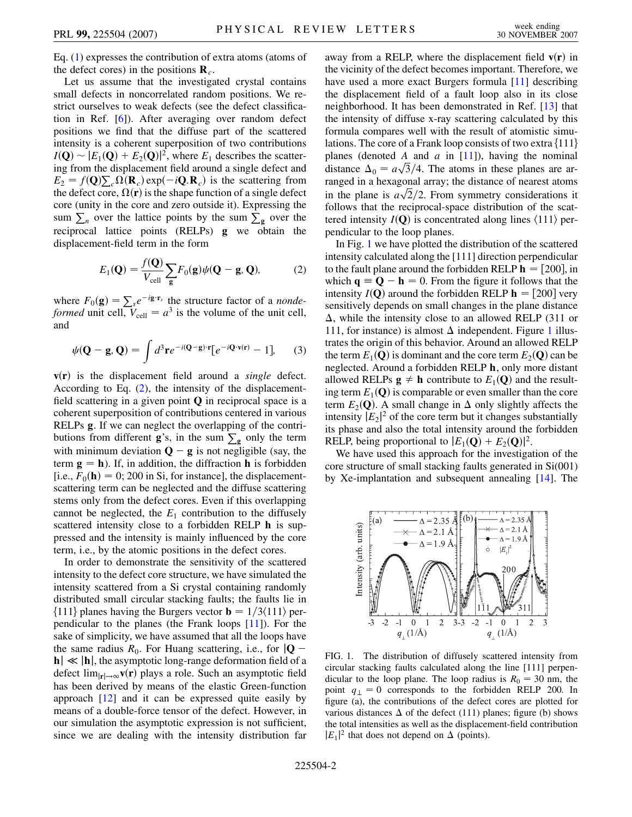Eq. [\(1](#page-0-0)) expresses the contribution of extra atoms (atoms of the defect cores) in the positions  $\mathbf{R}_c$ .

Let us assume that the investigated crystal contains small defects in noncorrelated random positions. We restrict ourselves to weak defects (see the defect classification in Ref. [[6\]](#page-3-5)). After averaging over random defect positions we find that the diffuse part of the scattered intensity is a coherent superposition of two contributions  $I(Q) \sim |E_1(Q) + E_2(Q)|^2$ , where  $E_1$  describes the scattering from the displacement field around a single defect and  $E_2 = f(\mathbf{Q})\sum_c \Omega(\mathbf{R}_c) \exp(-i\mathbf{Q}.\mathbf{R}_c)$  is the scattering from the defect core,  $\Omega(\mathbf{r})$  is the shape function of a single defect core (unity in the core and zero outside it). Expressing the sum  $\sum_n$  over the lattice points by the sum  $\sum_{g}$  over the reciprocal lattice points (RELPs) **g** we obtain the displacement-field term in the form

$$
E_1(\mathbf{Q}) = \frac{f(\mathbf{Q})}{V_{\text{cell}}} \sum_{\mathbf{g}} F_0(\mathbf{g}) \psi(\mathbf{Q} - \mathbf{g}, \mathbf{Q}), \tag{2}
$$

<span id="page-1-0"></span>where  $F_0(\mathbf{g}) = \sum_{s} e^{-i\mathbf{g} \cdot \mathbf{r}_s}$  the structure factor of a *nondeformed* unit cell,  $V_{\text{cell}} = a^3$  is the volume of the unit cell, and

<span id="page-1-2"></span>
$$
\psi(\mathbf{Q}-\mathbf{g},\mathbf{Q})=\int d^3\mathbf{r}e^{-i(\mathbf{Q}-\mathbf{g})\cdot\mathbf{r}}[e^{-i\mathbf{Q}\cdot\mathbf{v}(\mathbf{r})}-1],\qquad(3)
$$

 $v(r)$  is the displacement field around a *single* defect. According to Eq. ([2](#page-1-0)), the intensity of the displacementfield scattering in a given point **Q** in reciprocal space is a coherent superposition of contributions centered in various RELPs **g**. If we can neglect the overlapping of the contributions from different  $g$ 's, in the sum  $\sum_{g}$  only the term with minimum deviation  $Q - g$  is not negligible (say, the term  $\mathbf{g} = \mathbf{h}$ ). If, in addition, the diffraction **h** is forbidden [i.e.,  $F_0(\mathbf{h}) = 0$ ; 200 in Si, for instance], the displacementscattering term can be neglected and the diffuse scattering stems only from the defect cores. Even if this overlapping cannot be neglected, the  $E_1$  contribution to the diffusely scattered intensity close to a forbidden RELP **h** is suppressed and the intensity is mainly influenced by the core term, i.e., by the atomic positions in the defect cores.

In order to demonstrate the sensitivity of the scattered intensity to the defect core structure, we have simulated the intensity scattered from a Si crystal containing randomly distributed small circular stacking faults; the faults lie in  $\{111\}$  planes having the Burgers vector **b** =  $1/3\langle 111 \rangle$  perpendicular to the planes (the Frank loops [\[11\]](#page-3-10)). For the sake of simplicity, we have assumed that all the loops have the same radius  $R_0$ . For Huang scattering, i.e., for  $|\mathbf{Q} - \mathbf{Q}|$  $\mathbf{h} \ll |\mathbf{h}|$ , the asymptotic long-range deformation field of a defect  $\lim_{|\mathbf{r}| \to \infty} \mathbf{v}(\mathbf{r})$  plays a role. Such an asymptotic field has been derived by means of the elastic Green-function approach [\[12](#page-3-11)] and it can be expressed quite easily by means of a double-force tensor of the defect. However, in our simulation the asymptotic expression is not sufficient, since we are dealing with the intensity distribution far away from a RELP, where the displacement field  $v(r)$  in the vicinity of the defect becomes important. Therefore, we have used a more exact Burgers formula [[11](#page-3-10)] describing the displacement field of a fault loop also in its close neighborhood. It has been demonstrated in Ref. [[13](#page-3-12)] that the intensity of diffuse x-ray scattering calculated by this formula compares well with the result of atomistic simulations. The core of a Frank loop consists of two extra  $\{111\}$ planes (denoted *A* and *a* in [[11](#page-3-10)]), having the nominal planes (denoted *A* and *a* in [11]), having the nominal distance  $\Delta_0 = a\sqrt{3}/4$ . The atoms in these planes are arranged in a hexagonal array; the distance of nearest atoms ranged in a nexagonal array; the distance of heartest atoms in the plane is  $a\sqrt{2}/2$ . From symmetry considerations it follows that the reciprocal-space distribution of the scattered intensity  $I(Q)$  is concentrated along lines  $\langle 111 \rangle$  perpendicular to the loop planes.

In Fig. [1](#page-1-1) we have plotted the distribution of the scattered intensity calculated along the [111] direction perpendicular to the fault plane around the forbidden RELP  $h = [200]$ , in which  $\mathbf{q} \equiv \mathbf{Q} - \mathbf{h} = 0$ . From the figure it follows that the intensity  $I(Q)$  around the forbidden RELP  $h = [200]$  very sensitively depends on small changes in the plane distance  $\Delta$ , while the intensity close to an allowed RELP (311 or [1](#page-1-1)11, for instance) is almost  $\Delta$  independent. Figure 1 illustrates the origin of this behavior. Around an allowed RELP the term  $E_1(\mathbf{Q})$  is dominant and the core term  $E_2(\mathbf{Q})$  can be neglected. Around a forbidden RELP **h**, only more distant allowed RELPs  $\mathbf{g} \neq \mathbf{h}$  contribute to  $E_1(\mathbf{Q})$  and the resulting term  $E_1(Q)$  is comparable or even smaller than the core term  $E_2(Q)$ . A small change in  $\Delta$  only slightly affects the intensity  $|E_2|^2$  of the core term but it changes substantially its phase and also the total intensity around the forbidden RELP, being proportional to  $|E_1(\mathbf{Q}) + E_2(\mathbf{Q})|^2$ .

We have used this approach for the investigation of the core structure of small stacking faults generated in Si(001) by Xe-implantation and subsequent annealing [[14](#page-3-13)]. The

<span id="page-1-1"></span>

FIG. 1. The distribution of diffusely scattered intensity from circular stacking faults calculated along the line [111] perpendicular to the loop plane. The loop radius is  $R_0 = 30$  nm, the point  $q_{\perp} = 0$  corresponds to the forbidden RELP 200. In figure (a), the contributions of the defect cores are plotted for various distances  $\Delta$  of the defect (111) planes; figure (b) shows the total intensities as well as the displacement-field contribution  $|E_1|^2$  that does not depend on  $\Delta$  (points).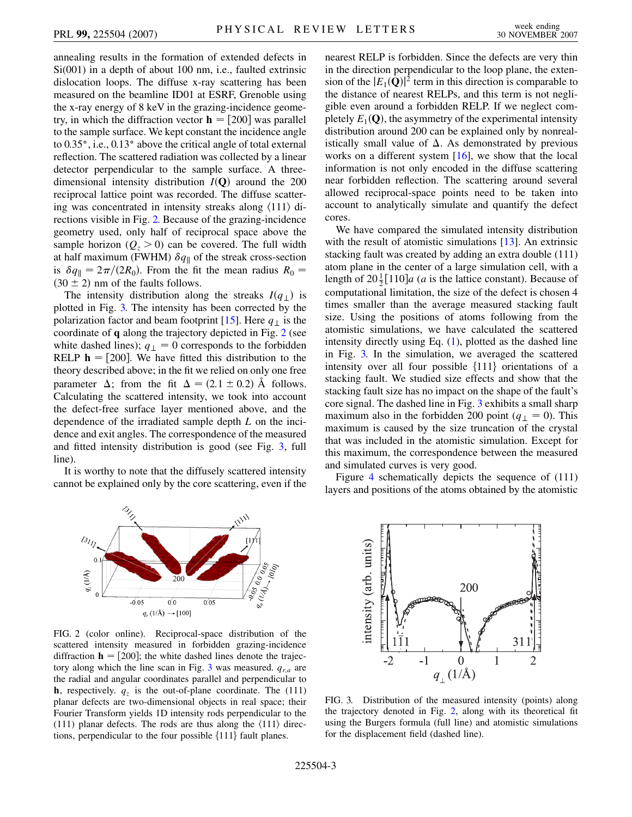annealing results in the formation of extended defects in Si(001) in a depth of about 100 nm, i.e., faulted extrinsic dislocation loops. The diffuse x-ray scattering has been measured on the beamline ID01 at ESRF, Grenoble using the x-ray energy of 8 keV in the grazing-incidence geometry, in which the diffraction vector  $\mathbf{h} = [200]$  was parallel to the sample surface. We kept constant the incidence angle to 0.35, i.e., 0.13 above the critical angle of total external reflection. The scattered radiation was collected by a linear detector perpendicular to the sample surface. A threedimensional intensity distribution  $I(Q)$  around the 200 reciprocal lattice point was recorded. The diffuse scattering was concentrated in intensity streaks along  $\langle 111 \rangle$  directions visible in Fig. [2.](#page-2-0) Because of the grazing-incidence geometry used, only half of reciprocal space above the sample horizon  $(Q_z > 0)$  can be covered. The full width at half maximum (FWHM)  $\delta q_{\parallel}$  of the streak cross-section is  $\delta q_{\parallel} = 2\pi/(2R_0)$ . From the fit the mean radius  $R_0 =$  $(30 \pm 2)$  nm of the faults follows.

The intensity distribution along the streaks  $I(q_1)$  is plotted in Fig. [3.](#page-2-1) The intensity has been corrected by the polarization factor and beam footprint [[15](#page-3-14)]. Here  $q_{\perp}$  is the coordinate of **q** along the trajectory depicted in Fig. [2](#page-2-0) (see white dashed lines);  $q_{\perp} = 0$  corresponds to the forbidden RELP  $h = [200]$ . We have fitted this distribution to the theory described above; in the fit we relied on only one free parameter  $\Delta$ ; from the fit  $\Delta = (2.1 \pm 0.2)$  Å follows. Calculating the scattered intensity, we took into account the defect-free surface layer mentioned above, and the dependence of the irradiated sample depth *L* on the incidence and exit angles. The correspondence of the measured and fitted intensity distribution is good (see Fig. [3](#page-2-1), full line).

<span id="page-2-0"></span>It is worthy to note that the diffusely scattered intensity cannot be explained only by the core scattering, even if the

 $q_z \, (1/\text{\AA})$ 

 $-0.05$ 

nearest RELP is forbidden. Since the defects are very thin in the direction perpendicular to the loop plane, the extension of the  $|E_1(Q)|^2$  term in this direction is comparable to the distance of nearest RELPs, and this term is not negligible even around a forbidden RELP. If we neglect completely  $E_1(\mathbf{Q})$ , the asymmetry of the experimental intensity distribution around 200 can be explained only by nonrealistically small value of  $\Delta$ . As demonstrated by previous works on a different system [\[16\]](#page-3-15), we show that the local information is not only encoded in the diffuse scattering near forbidden reflection. The scattering around several allowed reciprocal-space points need to be taken into account to analytically simulate and quantify the defect cores.

We have compared the simulated intensity distribution with the result of atomistic simulations [\[13\]](#page-3-12). An extrinsic stacking fault was created by adding an extra double (111) atom plane in the center of a large simulation cell, with a length of  $20\frac{1}{2}[110]a$  (*a* is the lattice constant). Because of computational limitation, the size of the defect is chosen 4 times smaller than the average measured stacking fault size. Using the positions of atoms following from the atomistic simulations, we have calculated the scattered intensity directly using Eq. ([1\)](#page-0-0), plotted as the dashed line in Fig. [3.](#page-2-1) In the simulation, we averaged the scattered intensity over all four possible  $\{111\}$  orientations of a stacking fault. We studied size effects and show that the stacking fault size has no impact on the shape of the fault's core signal. The dashed line in Fig. [3](#page-2-1) exhibits a small sharp maximum also in the forbidden 200 point ( $q_{\perp} = 0$ ). This maximum is caused by the size truncation of the crystal that was included in the atomistic simulation. Except for this maximum, the correspondence between the measured and simulated curves is very good.

Figure [4](#page-3-16) schematically depicts the sequence of (111) layers and positions of the atoms obtained by the atomistic



 $0.0$  $q_r(1/\text{\AA}) \longrightarrow [100]$   $0.05$ 

<span id="page-2-1"></span>intensity (arb. units) 200 31  $\overline{0}$  $-2$  $-1$  $\overline{2}$  $\mathbf{1}$  $q_{\perp}$ (1/Å)

FIG. 3. Distribution of the measured intensity (points) along the trajectory denoted in Fig. [2](#page-2-0), along with its theoretical fit using the Burgers formula (full line) and atomistic simulations for the displacement field (dashed line).

०.<br>१९११